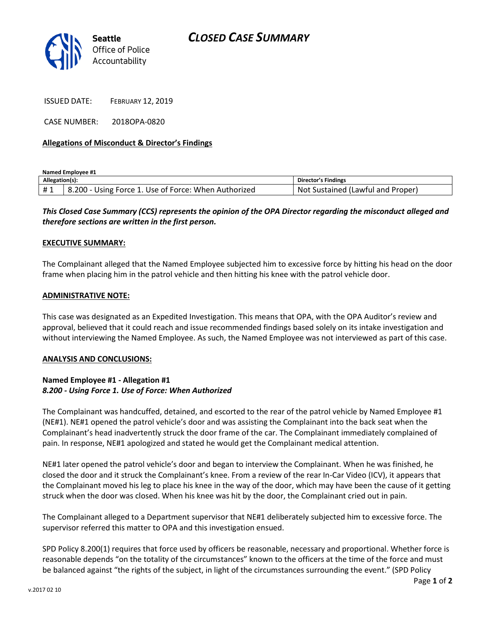

ISSUED DATE: FEBRUARY 12, 2019

CASE NUMBER: 2018OPA-0820

## **Allegations of Misconduct & Director's Findings**

**Named Employee #1**

| Allegation(s): |                                                      | <b>Director's Findings</b>              |
|----------------|------------------------------------------------------|-----------------------------------------|
| #1             | 8.200 - Using Force 1. Use of Force: When Authorized | : Sustained (Lawful and Proper)<br>Not. |

# *This Closed Case Summary (CCS) represents the opinion of the OPA Director regarding the misconduct alleged and therefore sections are written in the first person.*

#### **EXECUTIVE SUMMARY:**

The Complainant alleged that the Named Employee subjected him to excessive force by hitting his head on the door frame when placing him in the patrol vehicle and then hitting his knee with the patrol vehicle door.

### **ADMINISTRATIVE NOTE:**

This case was designated as an Expedited Investigation. This means that OPA, with the OPA Auditor's review and approval, believed that it could reach and issue recommended findings based solely on its intake investigation and without interviewing the Named Employee. As such, the Named Employee was not interviewed as part of this case.

#### **ANALYSIS AND CONCLUSIONS:**

## **Named Employee #1 - Allegation #1** *8.200 - Using Force 1. Use of Force: When Authorized*

The Complainant was handcuffed, detained, and escorted to the rear of the patrol vehicle by Named Employee #1 (NE#1). NE#1 opened the patrol vehicle's door and was assisting the Complainant into the back seat when the Complainant's head inadvertently struck the door frame of the car. The Complainant immediately complained of pain. In response, NE#1 apologized and stated he would get the Complainant medical attention.

NE#1 later opened the patrol vehicle's door and began to interview the Complainant. When he was finished, he closed the door and it struck the Complainant's knee. From a review of the rear In-Car Video (ICV), it appears that the Complainant moved his leg to place his knee in the way of the door, which may have been the cause of it getting struck when the door was closed. When his knee was hit by the door, the Complainant cried out in pain.

The Complainant alleged to a Department supervisor that NE#1 deliberately subjected him to excessive force. The supervisor referred this matter to OPA and this investigation ensued.

SPD Policy 8.200(1) requires that force used by officers be reasonable, necessary and proportional. Whether force is reasonable depends "on the totality of the circumstances" known to the officers at the time of the force and must be balanced against "the rights of the subject, in light of the circumstances surrounding the event." (SPD Policy